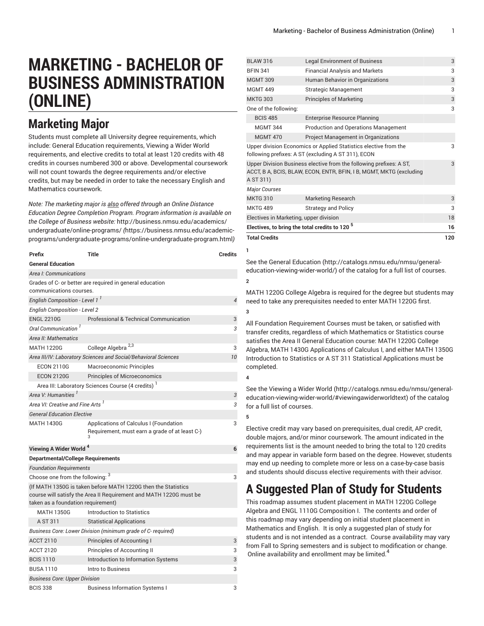# **MARKETING - BACHELOR OF BUSINESS ADMINISTRATION (ONLINE)**

## **Marketing Major**

Students must complete all University degree requirements, which include: General Education requirements, Viewing a Wider World requirements, and elective credits to total at least 120 credits with 48 credits in courses numbered 300 or above. Developmental coursework will not count towards the degree requirements and/or elective credits, but may be needed in order to take the necessary English and Mathematics coursework.

*Note: The marketing major is also offered through an Online Distance Education Degree Completion Program. Program information is available on the College of Business website:* [http://business.nmsu.edu/academics/](https://business.nmsu.edu/academic-programs/undergraduate-programs/online-undergraduate-program.html) [undergraduate/online-programs/](https://business.nmsu.edu/academic-programs/undergraduate-programs/online-undergraduate-program.html) *(*[https://business.nmsu.edu/academic](https://business.nmsu.edu/academic-programs/undergraduate-programs/online-undergraduate-program.html)[programs/undergraduate-programs/online-undergraduate-program.html](https://business.nmsu.edu/academic-programs/undergraduate-programs/online-undergraduate-program.html)*)*

| Prefix                                       | Title                                                                                                                               | <b>Credits</b> |
|----------------------------------------------|-------------------------------------------------------------------------------------------------------------------------------------|----------------|
| <b>General Education</b>                     |                                                                                                                                     |                |
| Area I: Communications                       |                                                                                                                                     |                |
| communications courses.                      | Grades of C- or better are required in general education                                                                            |                |
| English Composition - Level 1 <sup>1</sup>   |                                                                                                                                     | $\overline{4}$ |
| <b>English Composition - Level 2</b>         |                                                                                                                                     |                |
| <b>ENGL 2210G</b>                            | Professional & Technical Communication                                                                                              | 3              |
| Oral Communication <sup>1</sup>              |                                                                                                                                     | 3              |
| Area II: Mathematics                         |                                                                                                                                     |                |
| <b>MATH 1220G</b>                            | College Algebra <sup>2,3</sup>                                                                                                      | 3              |
|                                              | Area III/IV: Laboratory Sciences and Social/Behavioral Sciences                                                                     | 10             |
| <b>ECON 2110G</b>                            | Macroeconomic Principles                                                                                                            |                |
| <b>ECON 2120G</b>                            | <b>Principles of Microeconomics</b>                                                                                                 |                |
|                                              | Area III: Laboratory Sciences Course (4 credits)                                                                                    |                |
| Area V: Humanities <sup>1</sup>              |                                                                                                                                     | 3              |
| Area VI: Creative and Fine Arts <sup>1</sup> |                                                                                                                                     | 3              |
| <b>General Education Elective</b>            |                                                                                                                                     |                |
| <b>MATH 1430G</b>                            | Applications of Calculus I (Foundation<br>Requirement, must earn a grade of at least C-)                                            | 3              |
| Viewing A Wider World <sup>4</sup>           |                                                                                                                                     | 6              |
| <b>Departmental/College Requirements</b>     |                                                                                                                                     |                |
| <b>Foundation Requirements</b>               |                                                                                                                                     |                |
| Choose one from the following: 3             |                                                                                                                                     | 3              |
| taken as a foundation requirement)           | (If MATH 1350G is taken before MATH 1220G then the Statistics<br>course will satisfy the Area II Requirement and MATH 1220G must be |                |
| <b>MATH 1350G</b>                            | Introduction to Statistics                                                                                                          |                |
| A ST 311                                     | <b>Statistical Applications</b>                                                                                                     |                |
|                                              | Business Core: Lower Division (minimum grade of C-required)                                                                         |                |
| <b>ACCT 2110</b>                             | Principles of Accounting I                                                                                                          | 3              |
| <b>ACCT 2120</b>                             | Principles of Accounting II                                                                                                         | 3              |
| <b>BCIS 1110</b>                             | Introduction to Information Systems                                                                                                 | 3              |
| <b>BUSA 1110</b>                             | Intro to Business                                                                                                                   | 3              |
| <b>Business Core: Upper Division</b>         |                                                                                                                                     |                |

BCIS 338 Business Information Systems I 3

| <b>BLAW 316</b>                                           | <b>Legal Environment of Business</b>                                                                                                       | 3   |
|-----------------------------------------------------------|--------------------------------------------------------------------------------------------------------------------------------------------|-----|
| <b>BFIN 341</b>                                           | <b>Financial Analysis and Markets</b>                                                                                                      | 3   |
| <b>MGMT 309</b>                                           | Human Behavior in Organizations                                                                                                            | 3   |
| <b>MGMT 449</b>                                           | <b>Strategic Management</b>                                                                                                                | 3   |
| <b>MKTG 303</b>                                           | <b>Principles of Marketing</b>                                                                                                             | 3   |
| One of the following:                                     |                                                                                                                                            | 3   |
| <b>BCIS 485</b>                                           | <b>Enterprise Resource Planning</b>                                                                                                        |     |
| <b>MGMT 344</b>                                           | <b>Production and Operations Management</b>                                                                                                |     |
| <b>MGMT 470</b>                                           | Project Management in Organizations                                                                                                        |     |
|                                                           | Upper division Economics or Applied Statistics elective from the                                                                           | 3   |
|                                                           | following prefixes: A ST (excluding A ST 311), ECON                                                                                        |     |
| A ST 311)                                                 | Upper Division Business elective from the following prefixes: A ST,<br>ACCT, B A, BCIS, BLAW, ECON, ENTR, BFIN, I B, MGMT, MKTG (excluding | 3   |
| <b>Major Courses</b>                                      |                                                                                                                                            |     |
| <b>MKTG 310</b>                                           | <b>Marketing Research</b>                                                                                                                  | 3   |
| <b>MKTG 489</b>                                           | <b>Strategy and Policy</b>                                                                                                                 | 3   |
| Electives in Marketing, upper division                    |                                                                                                                                            |     |
| Electives, to bring the total credits to 120 <sup>5</sup> |                                                                                                                                            |     |
| <b>Total Credits</b>                                      |                                                                                                                                            | 120 |

**1**

**3**

See the General [Education](http://catalogs.nmsu.edu/nmsu/general-education-viewing-wider-world/) ([http://catalogs.nmsu.edu/nmsu/general](http://catalogs.nmsu.edu/nmsu/general-education-viewing-wider-world/)[education-viewing-wider-world/\)](http://catalogs.nmsu.edu/nmsu/general-education-viewing-wider-world/) of the catalog for a full list of courses. **2**

MATH 1220G College Algebra is required for the degree but students may need to take any prerequisites needed to enter MATH 1220G first.

All Foundation Requirement Courses must be taken, or satisfied with transfer credits, regardless of which Mathematics or Statistics course satisfies the Area II General Education course: MATH [1220G](/search/?P=MATH%201220G) College Algebra, MATH [1430G](/search/?P=MATH%201430G) Applications of Calculus I, and either MATH 1350G Introduction to Statistics or [A ST 311](/search/?P=A%20ST%20311) Statistical Applications must be completed.

See the [Viewing](http://catalogs.nmsu.edu/nmsu/general-education-viewing-wider-world/#viewingawiderworldtext) a Wider World [\(http://catalogs.nmsu.edu/nmsu/general](http://catalogs.nmsu.edu/nmsu/general-education-viewing-wider-world/#viewingawiderworldtext)[education-viewing-wider-world/#viewingawiderworldtext\)](http://catalogs.nmsu.edu/nmsu/general-education-viewing-wider-world/#viewingawiderworldtext) of the catalog for a full list of courses.

**5**

**4**

Elective credit may vary based on prerequisites, dual credit, AP credit, double majors, and/or minor coursework. The amount indicated in the requirements list is the amount needed to bring the total to 120 credits and may appear in variable form based on the degree. However, students may end up needing to complete more or less on a case-by-case basis and students should discuss elective requirements with their advisor.

### **A Suggested Plan of Study for Students**

This roadmap assumes student placement in MATH 1220G College Algebra and ENGL 1110G Composition I. The contents and order of this roadmap may vary depending on initial student placement in Mathematics and English. It is only a suggested plan of study for students and is not intended as a contract. Course availability may vary from Fall to Spring semesters and is subject to modification or change. Online availability and enrollment may be limited.<sup>4</sup>